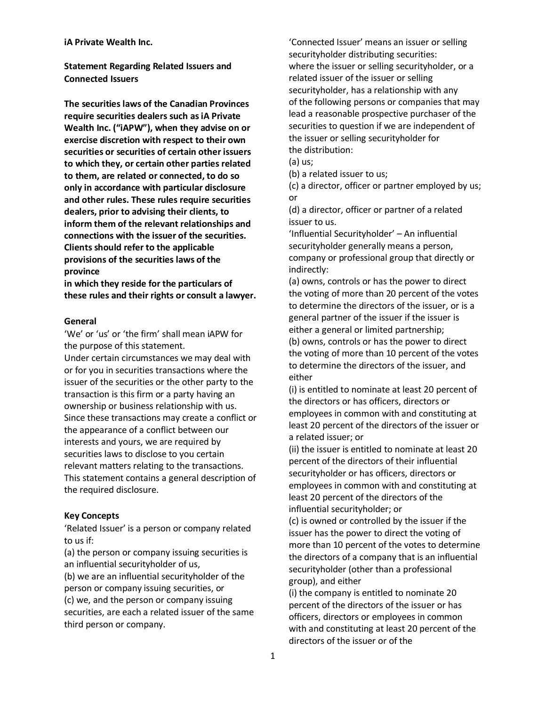#### **iA Private Wealth Inc.**

**Statement Regarding Related Issuers and Connected Issuers** 

 **The securities laws of the Canadian Provinces require securities dealers such as iA Private Wealth Inc. ("iAPW"), when they advise on or exercise discretion with respect to their own securities or securities of certain other issuers to which they, or certain other parties related to them, are related or connected, to do so dealers, prior to advising their clients, to inform them of the relevant relationships and Clients should refer to the applicable provisions of the securities laws of the only in accordance with particular disclosure and other rules. These rules require securities connections with the issuer of the securities. province** 

 **these rules and their rights or consult a lawyer. in which they reside for the particulars of** 

#### **General**

'We' or 'us' or 'the firm' shall mean iAPW for the purpose of this statement.

Under certain circumstances we may deal with or for you in securities transactions where the issuer of the securities or the other party to the transaction is this firm or a party having an ownership or business relationship with us. Since these transactions may create a conflict or the appearance of a conflict between our interests and yours, we are required by securities laws to disclose to you certain relevant matters relating to the transactions. This statement contains a general description of the required disclosure.

## **Key Concepts**

'Related Issuer' is a person or company related to us if:

(a) the person or company issuing securities is an influential securityholder of us,

(b) we are an influential securityholder of the person or company issuing securities, or (c) we, and the person or company issuing securities, are each a related issuer of the same third person or company.

'Connected Issuer' means an issuer or selling securityholder distributing securities: where the issuer or selling securityholder, or a related issuer of the issuer or selling securityholder, has a relationship with any of the following persons or companies that may lead a reasonable prospective purchaser of the securities to question if we are independent of the issuer or selling securityholder for the distribution:

(a) us;

(b) a related issuer to us;

(c) a director, officer or partner employed by us; or

 (d) a director, officer or partner of a related issuer to us.

 securityholder generally means a person, 'Influential Securityholder' – An influential company or professional group that directly or indirectly:

(a) owns, controls or has the power to direct the voting of more than 20 percent of the votes to determine the directors of the issuer, or is a general partner of the issuer if the issuer is either a general or limited partnership; (b) owns, controls or has the power to direct the voting of more than 10 percent of the votes to determine the directors of the issuer, and either

(i) is entitled to nominate at least 20 percent of the directors or has officers, directors or employees in common with and constituting at least 20 percent of the directors of the issuer or a related issuer; or

(ii) the issuer is entitled to nominate at least 20 percent of the directors of their influential securityholder or has officers, directors or employees in common with and constituting at least 20 percent of the directors of the influential securityholder; or

(c) is owned or controlled by the issuer if the issuer has the power to direct the voting of more than 10 percent of the votes to determine the directors of a company that is an influential securityholder (other than a professional group), and either

(i) the company is entitled to nominate 20 percent of the directors of the issuer or has officers, directors or employees in common with and constituting at least 20 percent of the directors of the issuer or of the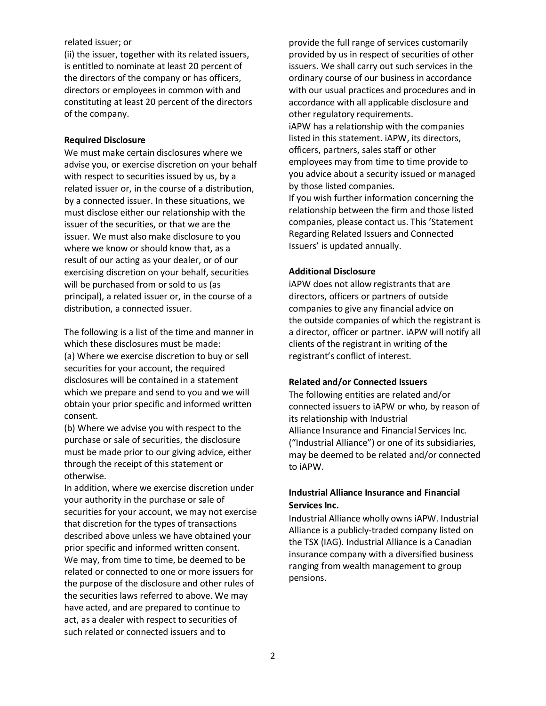### related issuer; or

(ii) the issuer, together with its related issuers, is entitled to nominate at least 20 percent of the directors of the company or has officers, directors or employees in common with and constituting at least 20 percent of the directors of the company.

#### **Required Disclosure**

 issuer. We must also make disclosure to you We must make certain disclosures where we advise you, or exercise discretion on your behalf with respect to securities issued by us, by a related issuer or, in the course of a distribution, by a connected issuer. In these situations, we must disclose either our relationship with the issuer of the securities, or that we are the where we know or should know that, as a result of our acting as your dealer, or of our exercising discretion on your behalf, securities will be purchased from or sold to us (as principal), a related issuer or, in the course of a distribution, a connected issuer.

The following is a list of the time and manner in which these disclosures must be made: (a) Where we exercise discretion to buy or sell securities for your account, the required disclosures will be contained in a statement which we prepare and send to you and we will obtain your prior specific and informed written consent.

(b) Where we advise you with respect to the purchase or sale of securities, the disclosure must be made prior to our giving advice, either through the receipt of this statement or otherwise.

In addition, where we exercise discretion under your authority in the purchase or sale of securities for your account, we may not exercise that discretion for the types of transactions described above unless we have obtained your prior specific and informed written consent. We may, from time to time, be deemed to be related or connected to one or more issuers for the purpose of the disclosure and other rules of the securities laws referred to above. We may have acted, and are prepared to continue to act, as a dealer with respect to securities of such related or connected issuers and to

provide the full range of services customarily provided by us in respect of securities of other issuers. We shall carry out such services in the ordinary course of our business in accordance with our usual practices and procedures and in accordance with all applicable disclosure and other regulatory requirements.

iAPW has a relationship with the companies listed in this statement. iAPW, its directors, officers, partners, sales staff or other employees may from time to time provide to you advice about a security issued or managed by those listed companies.

If you wish further information concerning the relationship between the firm and those listed companies, please contact us. This 'Statement Regarding Related Issuers and Connected Issuers' is updated annually.

# **Additional Disclosure**

iAPW does not allow registrants that are directors, officers or partners of outside companies to give any financial advice on the outside companies of which the registrant is a director, officer or partner. iAPW will notify all clients of the registrant in writing of the registrant's conflict of interest.

#### **Related and/or Connected Issuers**

The following entities are related and/or connected issuers to iAPW or who, by reason of its relationship with Industrial Alliance Insurance and Financial Services Inc. ("Industrial Alliance") or one of its subsidiaries, may be deemed to be related and/or connected to iAPW.

# **Industrial Alliance Insurance and Financial Services Inc.**

 Industrial Alliance wholly owns iAPW. Industrial Alliance is a publicly-traded company listed on the TSX (IAG). Industrial Alliance is a Canadian insurance company with a diversified business ranging from wealth management to group pensions.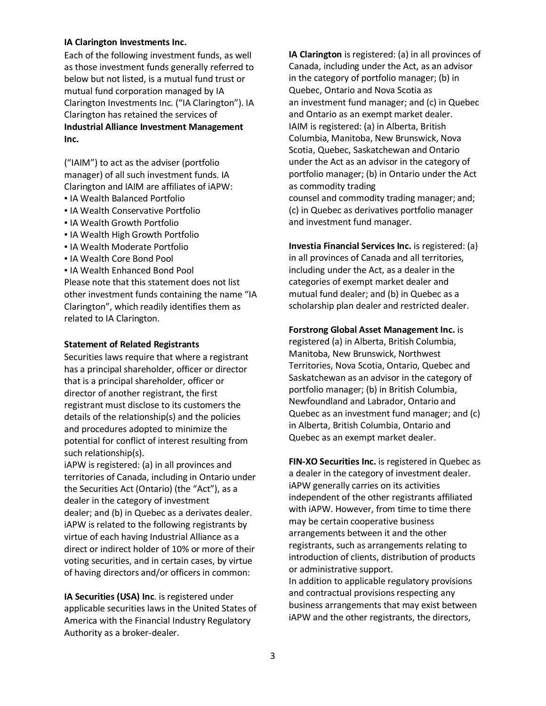# **IA Clarington Investments Inc.**

 **Inc.** Each of the following investment funds, as well as those investment funds generally referred to below but not listed, is a mutual fund trust or mutual fund corporation managed by IA Clarington Investments Inc. ("IA Clarington"). IA Clarington has retained the services of **Industrial Alliance Investment Management** 

("IAIM") to act as the adviser (portfolio manager) of all such investment funds. IA Clarington and IAIM are affiliates of iAPW:

- IA Wealth Balanced Portfolio
- **. IA Wealth Conservative Portfolio**
- **.** IA Wealth Growth Portfolio
- **. IA Wealth High Growth Portfolio**
- IA Wealth Moderate Portfolio
- **. IA Wealth Core Bond Pool**
- IA Wealth Enhanced Bond Pool

 Clarington", which readily identifies them as Please note that this statement does not list other investment funds containing the name "IA related to IA Clarington.

# **Statement of Related Registrants**

 Securities laws require that where a registrant has a principal shareholder, officer or director that is a principal shareholder, officer or director of another registrant, the first registrant must disclose to its customers the details of the relationship(s) and the policies and procedures adopted to minimize the potential for conflict of interest resulting from such relationship(s).

iAPW is registered: (a) in all provinces and territories of Canada, including in Ontario under the Securities Act (Ontario) (the "Act"), as a dealer in the category of investment dealer; and (b) in Quebec as a derivates dealer. iAPW is related to the following registrants by virtue of each having Industrial Alliance as a direct or indirect holder of 10% or more of their voting securities, and in certain cases, by virtue of having directors and/or officers in common:

Authority as a broker-dealer. **IA Securities (USA) Inc**. is registered under applicable securities laws in the United States of America with the Financial Industry Regulatory

 IAIM is registered: (a) in Alberta, British counsel and commodity trading manager; and; Each of the Gollowing investment funds, a swell **AC** Larington is registered: (a) in all provinces of the Clarington is relatively by the claring properties of the claring in the claring of the claring in the claring of th Canada, including under the Act, as an advisor in the category of portfolio manager; (b) in Quebec, Ontario and Nova Scotia as an investment fund manager; and (c) in Quebec and Ontario as an exempt market dealer. Columbia, Manitoba, New Brunswick, Nova Scotia, Quebec, Saskatchewan and Ontario under the Act as an advisor in the category of portfolio manager; (b) in Ontario under the Act as commodity trading (c) in Quebec as derivatives portfolio manager and investment fund manager.

**Investia Financial Services Inc.** is registered: (a) in all provinces of Canada and all territories, including under the Act, as a dealer in the categories of exempt market dealer and mutual fund dealer; and (b) in Quebec as a scholarship plan dealer and restricted dealer.

# **Forstrong Global Asset Management Inc.** is

 registered (a) in Alberta, British Columbia, Newfoundland and Labrador, Ontario and Manitoba, New Brunswick, Northwest Territories, Nova Scotia, Ontario, Quebec and Saskatchewan as an advisor in the category of portfolio manager; (b) in British Columbia, Quebec as an investment fund manager; and (c) in Alberta, British Columbia, Ontario and Quebec as an exempt market dealer.

 **FIN-XO Securities Inc.** is registered in Quebec as and contractual provisions respecting any a dealer in the category of investment dealer. iAPW generally carries on its activities independent of the other registrants affiliated with iAPW. However, from time to time there may be certain cooperative business arrangements between it and the other registrants, such as arrangements relating to introduction of clients, distribution of products or administrative support. In addition to applicable regulatory provisions business arrangements that may exist between iAPW and the other registrants, the directors,